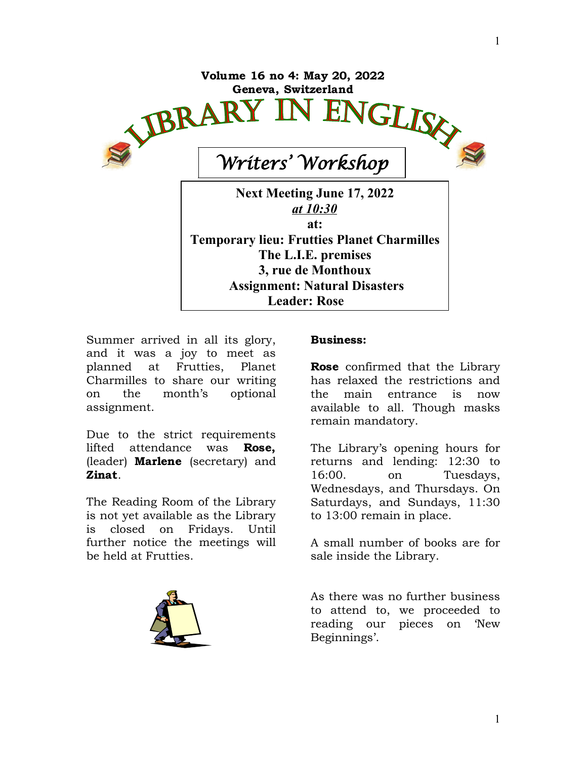

Summer arrived in all its glory, and it was a joy to meet as planned at Frutties, Planet Charmilles to share our writing on the month's optional assignment.

Due to the strict requirements lifted attendance was **Rose,** (leader) **Marlene** (secretary) and **Zinat**.

The Reading Room of the Library is not yet available as the Library is closed on Fridays. Until further notice the meetings will be held at Frutties.



## **Business:**

**Rose** confirmed that the Library has relaxed the restrictions and the main entrance is now available to all. Though masks remain mandatory.

The Library's opening hours for returns and lending: 12:30 to 16:00. on Tuesdays, Wednesdays, and Thursdays. On Saturdays, and Sundays, 11:30 to 13:00 remain in place.

A small number of books are for sale inside the Library.

As there was no further business to attend to, we proceeded to reading our pieces on 'New Beginnings'.

1